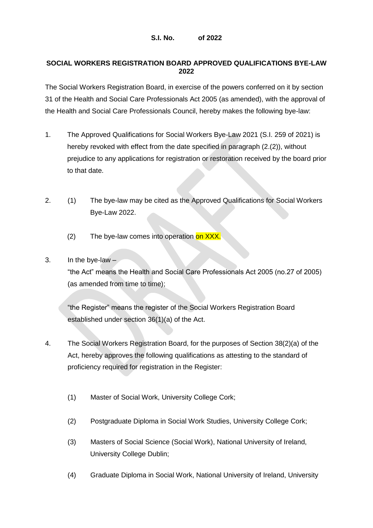#### **S.I. No. of 2022**

### **SOCIAL WORKERS REGISTRATION BOARD APPROVED QUALIFICATIONS BYE-LAW 2022**

The Social Workers Registration Board, in exercise of the powers conferred on it by section 31 of the Health and Social Care Professionals Act 2005 (as amended), with the approval of the Health and Social Care Professionals Council, hereby makes the following bye-law:

- 1. The Approved Qualifications for Social Workers Bye-Law 2021 (S.I. 259 of 2021) is hereby revoked with effect from the date specified in paragraph (2.(2)), without prejudice to any applications for registration or restoration received by the board prior to that date.
- 2. (1) The bye-law may be cited as the Approved Qualifications for Social Workers Bye-Law 2022.
	- $(2)$  The bye-law comes into operation on XXX.

# 3. In the bye-law –

"the Act" means the Health and Social Care Professionals Act 2005 (no.27 of 2005) (as amended from time to time);

"the Register" means the register of the Social Workers Registration Board established under section 36(1)(a) of the Act.

- 4. The Social Workers Registration Board, for the purposes of Section 38(2)(a) of the Act, hereby approves the following qualifications as attesting to the standard of proficiency required for registration in the Register:
	- (1) Master of Social Work, University College Cork;
	- (2) Postgraduate Diploma in Social Work Studies, University College Cork;
	- (3) Masters of Social Science (Social Work), National University of Ireland, University College Dublin;
	- (4) Graduate Diploma in Social Work, National University of Ireland, University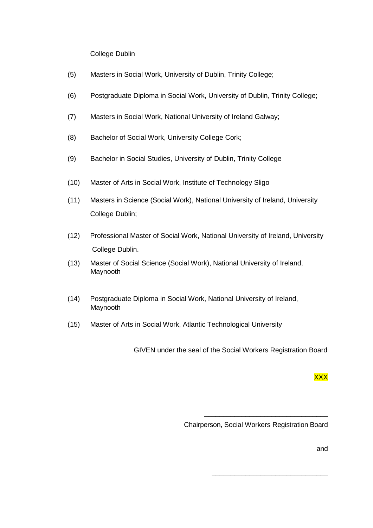## College Dublin

- (5) Masters in Social Work, University of Dublin, Trinity College;
- (6) Postgraduate Diploma in Social Work, University of Dublin, Trinity College;
- (7) Masters in Social Work, National University of Ireland Galway;
- (8) Bachelor of Social Work, University College Cork;
- (9) Bachelor in Social Studies, University of Dublin, Trinity College
- (10) Master of Arts in Social Work, Institute of Technology Sligo
- (11) Masters in Science (Social Work), National University of Ireland, University College Dublin;
- (12) Professional Master of Social Work, National University of Ireland, University College Dublin.
- (13) Master of Social Science (Social Work), National University of Ireland, Maynooth
- (14) Postgraduate Diploma in Social Work, National University of Ireland, Maynooth
- (15) Master of Arts in Social Work, Atlantic Technological University

GIVEN under the seal of the Social Workers Registration Board

XXX

Chairperson, Social Workers Registration Board

\_\_\_\_\_\_\_\_\_\_\_\_\_\_\_\_\_\_\_\_\_\_\_\_\_\_\_\_\_\_\_\_\_

\_\_\_\_\_\_\_\_\_\_\_\_\_\_\_\_\_\_\_\_\_\_\_\_\_\_\_\_\_\_\_

and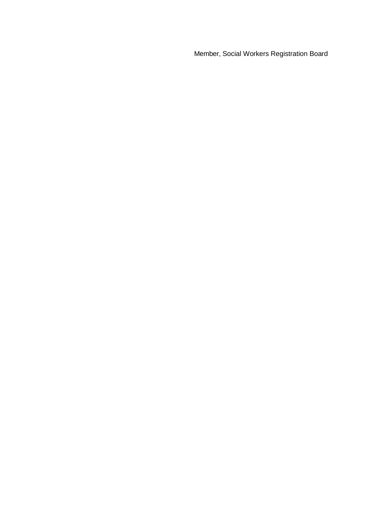Member, Social Workers Registration Board